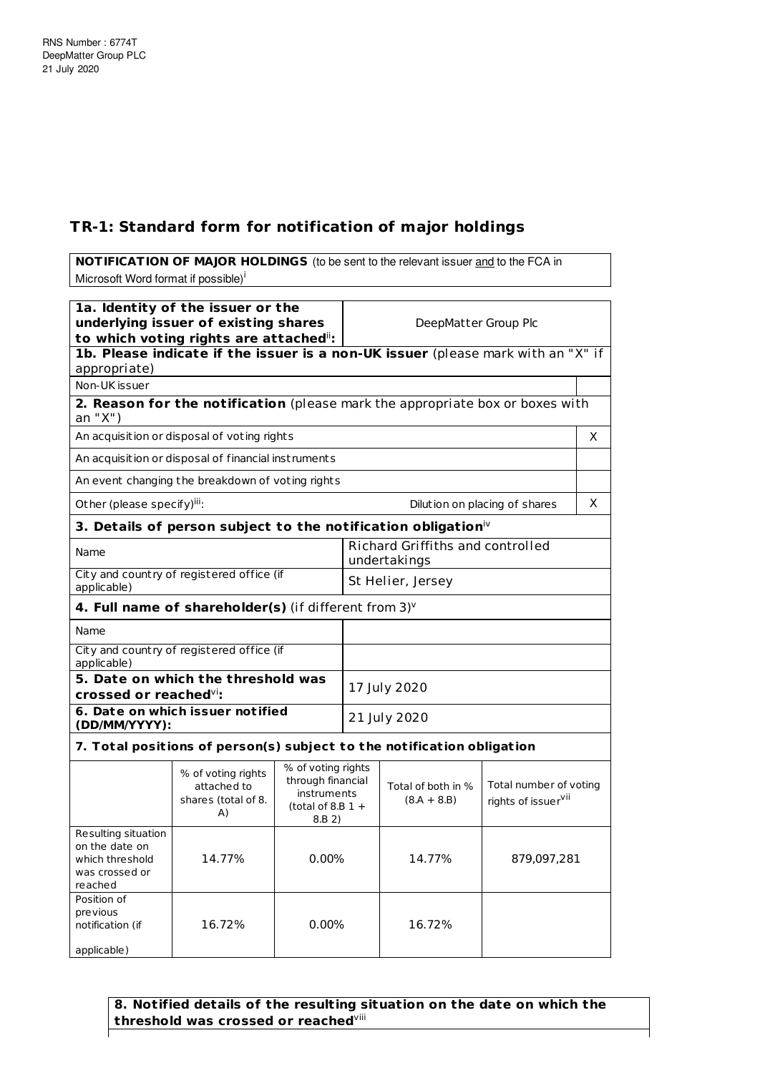## **TR-1: Standard form for notification of major holdings**

**NOTIFICATION OF MAJOR HOLDINGS** (to be sent to the relevant issuer and to the FCA in Microsoft Word format if possible)<sup>i</sup>

| 1a. Identity of the issuer or the<br>underlying issuer of existing shares<br>to which voting rights are attached": |                                                                                  |                                                                                                                                | DeepMatter Group Plc                                    |                                                           |                               |   |
|--------------------------------------------------------------------------------------------------------------------|----------------------------------------------------------------------------------|--------------------------------------------------------------------------------------------------------------------------------|---------------------------------------------------------|-----------------------------------------------------------|-------------------------------|---|
| appropriate)                                                                                                       | 1b. Please indicate if the issuer is a non-UK issuer (please mark with an "X" if |                                                                                                                                |                                                         |                                                           |                               |   |
| Non-UK issuer                                                                                                      |                                                                                  |                                                                                                                                |                                                         |                                                           |                               |   |
| an "X")                                                                                                            | 2. Reason for the notification (please mark the appropriate box or boxes with    |                                                                                                                                |                                                         |                                                           |                               |   |
|                                                                                                                    | An acquisition or disposal of voting rights                                      |                                                                                                                                |                                                         |                                                           |                               | X |
|                                                                                                                    | An acquisition or disposal of financial instruments                              |                                                                                                                                |                                                         |                                                           |                               |   |
|                                                                                                                    | An event changing the breakdown of voting rights                                 |                                                                                                                                |                                                         |                                                           |                               |   |
| Other (please specify) <sup>iii</sup> :                                                                            |                                                                                  |                                                                                                                                |                                                         |                                                           | Dilution on placing of shares | X |
|                                                                                                                    | 3. Details of person subject to the notification obligation $\dot{N}$            |                                                                                                                                |                                                         |                                                           |                               |   |
| Name                                                                                                               |                                                                                  |                                                                                                                                | <b>Richard Griffiths and controlled</b><br>undertakings |                                                           |                               |   |
| applicable)                                                                                                        | City and country of registered office (if                                        |                                                                                                                                | St Helier, Jersey                                       |                                                           |                               |   |
|                                                                                                                    | 4. Full name of shareholder(s) (if different from $3$ ) $v$                      |                                                                                                                                |                                                         |                                                           |                               |   |
| Name                                                                                                               |                                                                                  |                                                                                                                                |                                                         |                                                           |                               |   |
| City and country of registered office (if<br>applicable)                                                           |                                                                                  |                                                                                                                                |                                                         |                                                           |                               |   |
| 5. Date on which the threshold was<br>crossed or reached <sup>vi</sup> :                                           |                                                                                  |                                                                                                                                | 17 July 2020                                            |                                                           |                               |   |
| 6. Date on which issuer notified<br>(DD/MM/YYYY):                                                                  |                                                                                  |                                                                                                                                | 21 July 2020                                            |                                                           |                               |   |
|                                                                                                                    | 7. Total positions of person(s) subject to the notification obligation           |                                                                                                                                |                                                         |                                                           |                               |   |
|                                                                                                                    | % of voting rights<br>attached to<br>shares (total of 8.<br>A)                   | % of voting rights<br>through financial<br>Total of both in %<br>instruments<br>$(8.A + 8.B)$<br>(total of 8.B $1 +$<br>8.B 2) |                                                         | Total number of voting<br>rights of issuer <sup>vii</sup> |                               |   |
| Resulting situation<br>on the date on<br>which threshold<br>was crossed or<br>reached                              | 14.77%                                                                           | $0.00\%$                                                                                                                       |                                                         | 14.77%                                                    | 879,097,281                   |   |
| Position of<br>previous<br>notification (if<br>applicable)                                                         | 16.72%                                                                           | 0.00%                                                                                                                          |                                                         | 16.72%                                                    |                               |   |

**8. Notified details of the resulting situation on the date on which the threshold was crossed or reached** viii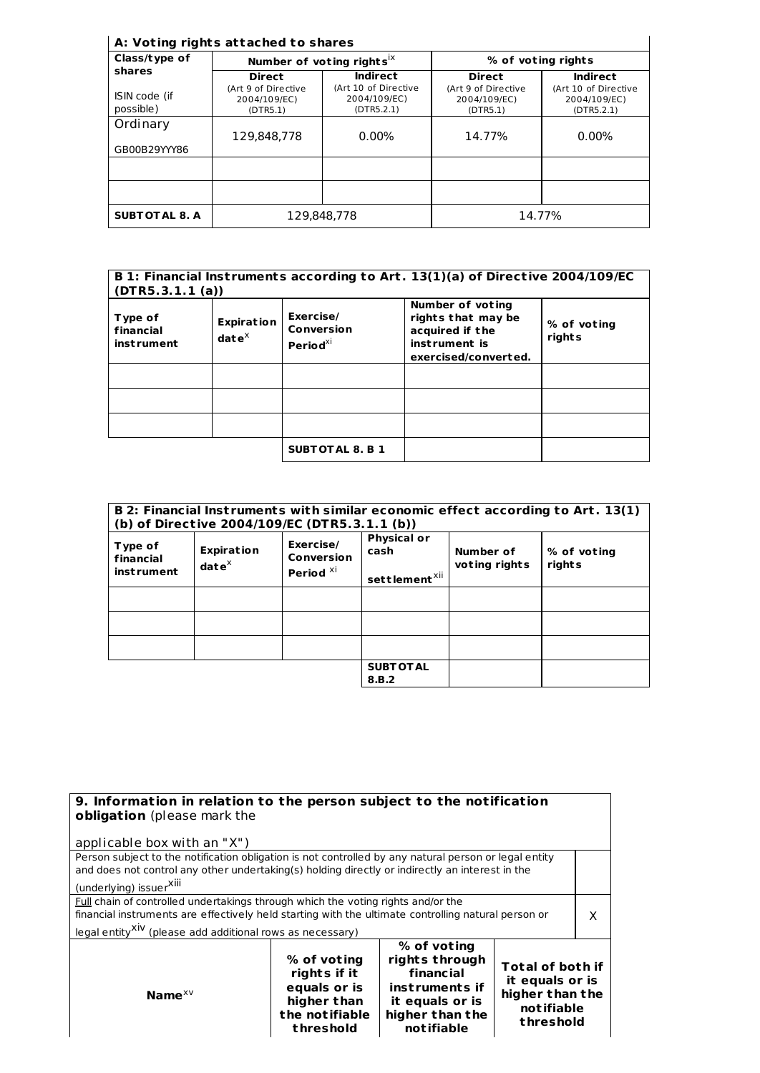## **A: Vot ing rights at tached to shares**

| Class/type of              |                                                 | Number of voting rights <sup>ix</sup>              | % of voting rights                              |                                                    |  |
|----------------------------|-------------------------------------------------|----------------------------------------------------|-------------------------------------------------|----------------------------------------------------|--|
| shares                     | <b>Direct</b>                                   | <b>Indirect</b>                                    | <b>Direct</b>                                   | <b>Indirect</b>                                    |  |
| ISIN code (if<br>possible) | (Art 9 of Directive<br>2004/109/EC)<br>(DTR5.1) | (Art 10 of Directive<br>2004/109/EC)<br>(DTR5.2.1) | (Art 9 of Directive<br>2004/109/EC)<br>(DTR5.1) | (Art 10 of Directive<br>2004/109/EC)<br>(DTR5.2.1) |  |
| Ordinary                   | 129.848.778                                     | $0.00\%$                                           | 14.77%                                          | $0.00\%$                                           |  |
| GB00B29YYY86               |                                                 |                                                    |                                                 |                                                    |  |
|                            |                                                 |                                                    |                                                 |                                                    |  |
| <b>SUBT OT AL 8. A</b>     |                                                 | 129.848.778                                        |                                                 | 14.77%                                             |  |

| B 1: Financial Instruments according to Art. 13(1)(a) of Directive 2004/109/EC<br>(DTR5.3.1.1(a)) |                                             |                                               |                                                                                                           |                       |
|---------------------------------------------------------------------------------------------------|---------------------------------------------|-----------------------------------------------|-----------------------------------------------------------------------------------------------------------|-----------------------|
| Type of<br>financial<br><i>instrument</i>                                                         | <b>Expiration</b><br>$\mathbf{date}^\times$ | Exercise/<br>Conversion<br>Period $^{\chi i}$ | <b>Number of voting</b><br>rights that may be<br>acquired if the<br>instrument is<br>exercised/converted. | % of voting<br>rights |
|                                                                                                   |                                             |                                               |                                                                                                           |                       |
|                                                                                                   |                                             |                                               |                                                                                                           |                       |
|                                                                                                   |                                             |                                               |                                                                                                           |                       |
|                                                                                                   |                                             | <b>SUBTOTAL 8. B 1</b>                        |                                                                                                           |                       |

| B 2: Financial Instruments with similar economic effect according to Art. 13(1)<br>(b) of Directive 2004/109/EC (DTR5.3.1.1 (b)) |                                    |                                                 |                                                         |                            |                       |
|----------------------------------------------------------------------------------------------------------------------------------|------------------------------------|-------------------------------------------------|---------------------------------------------------------|----------------------------|-----------------------|
| Type of<br>financial<br><b>instrument</b>                                                                                        | <b>Expiration</b><br>$date^{\chi}$ | Exercise/<br>Conversion<br>Period <sup>XI</sup> | <b>Physical or</b><br>cash<br>settlement <sup>xii</sup> | Number of<br>voting rights | % of voting<br>rights |
|                                                                                                                                  |                                    |                                                 |                                                         |                            |                       |
|                                                                                                                                  |                                    |                                                 |                                                         |                            |                       |
|                                                                                                                                  |                                    |                                                 |                                                         |                            |                       |
|                                                                                                                                  |                                    |                                                 | <b>SUBT OT AL</b><br>8.B.2                              |                            |                       |

| 9. Information in relation to the person subject to the notification<br><b>obligation</b> (please mark the                                                                                                                                                       |                                                                                           |                                                                                                                  |                                                                                          |  |
|------------------------------------------------------------------------------------------------------------------------------------------------------------------------------------------------------------------------------------------------------------------|-------------------------------------------------------------------------------------------|------------------------------------------------------------------------------------------------------------------|------------------------------------------------------------------------------------------|--|
| applicable box with an "X")                                                                                                                                                                                                                                      |                                                                                           |                                                                                                                  |                                                                                          |  |
| Person subject to the notification obligation is not controlled by any natural person or legal entity<br>and does not control any other undertaking(s) holding directly or indirectly an interest in the<br>(underlying) issuer <sup>XIII</sup>                  |                                                                                           |                                                                                                                  |                                                                                          |  |
| Full chain of controlled undertakings through which the voting rights and/or the<br>financial instruments are effectively held starting with the ultimate controlling natural person or<br>legal entity <sup>XIV</sup> (please add additional rows as necessary) |                                                                                           |                                                                                                                  | X                                                                                        |  |
| Name $XV$                                                                                                                                                                                                                                                        | % of voting<br>rights if it<br>equals or is<br>higher than<br>the notifiable<br>threshold | % of voting<br>rights through<br>financial<br>instruments if<br>it equals or is<br>higher than the<br>notifiable | <b>Total of both if</b><br>it equals or is<br>higher than the<br>notifiable<br>threshold |  |